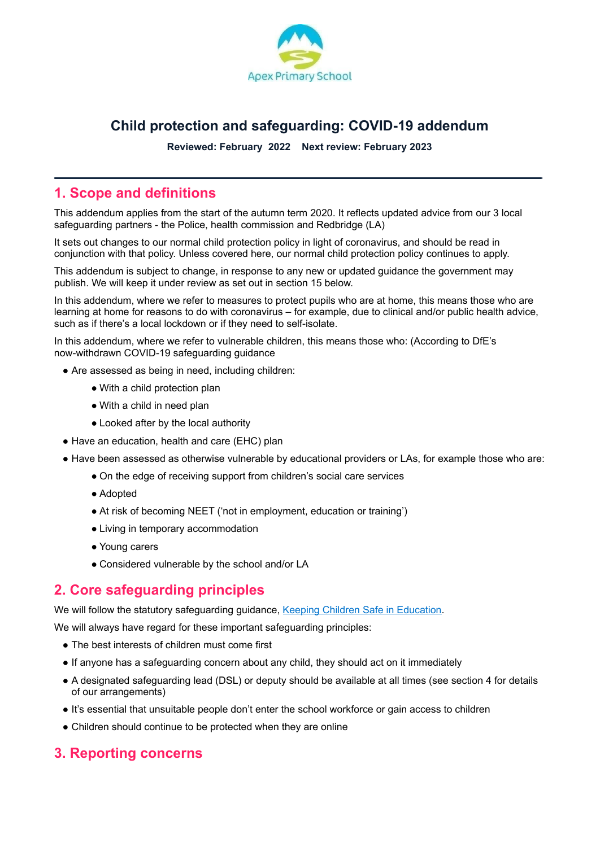

# **Child protection and safeguarding: COVID-19 addendum**

**Reviewed: February 2022 Next review: February 2023**

## **1. Scope and definitions**

This addendum applies from the start of the autumn term 2020. It reflects updated advice from our 3 local safeguarding partners - the Police, health commission and Redbridge (LA)

It sets out changes to our normal child protection policy in light of coronavirus, and should be read in conjunction with that policy. Unless covered here, our normal child protection policy continues to apply.

This addendum is subject to change, in response to any new or updated guidance the government may publish. We will keep it under review as set out in section 15 below.

In this addendum, where we refer to measures to protect pupils who are at home, this means those who are learning at home for reasons to do with coronavirus – for example, due to clinical and/or public health advice, such as if there's a local lockdown or if they need to self-isolate.

In this addendum, where we refer to vulnerable children, this means those who: (According to DfE's [now-withdrawn](https://www.gov.uk/government/publications/covid-19-safeguarding-in-schools-colleges-and-other-providers/coronavirus-covid-19-safeguarding-in-schools-colleges-and-other-providers#identification-of-vulnerable-children) COVID-19 safeguarding guidance

- Are assessed as being in need, including children:
	- With a child protection plan
	- With a child in need plan
	- Looked after by the local authority
- Have an education, health and care (EHC) plan
- Have been assessed as otherwise vulnerable by educational providers or LAs, for example those who are:
	- On the edge of receiving support from children's social care services
	- Adopted
	- At risk of becoming NEET ('not in employment, education or training')
	- Living in temporary accommodation
	- Young carers
	- Considered vulnerable by the school and/or LA

### **2. Core safeguarding principles**

We will follow the statutory safeguarding guidance, Keeping Children Safe in [Education.](https://www.gov.uk/government/publications/keeping-children-safe-in-education--2)

We will always have regard for these important safeguarding principles:

- The best interests of children must come first
- If anyone has a safeguarding concern about any child, they should act on it immediately
- A designated safeguarding lead (DSL) or deputy should be available at all times (see section 4 for details of our arrangements)
- It's essential that unsuitable people don't enter the school workforce or gain access to children
- Children should continue to be protected when they are online

#### **3. Reporting concerns**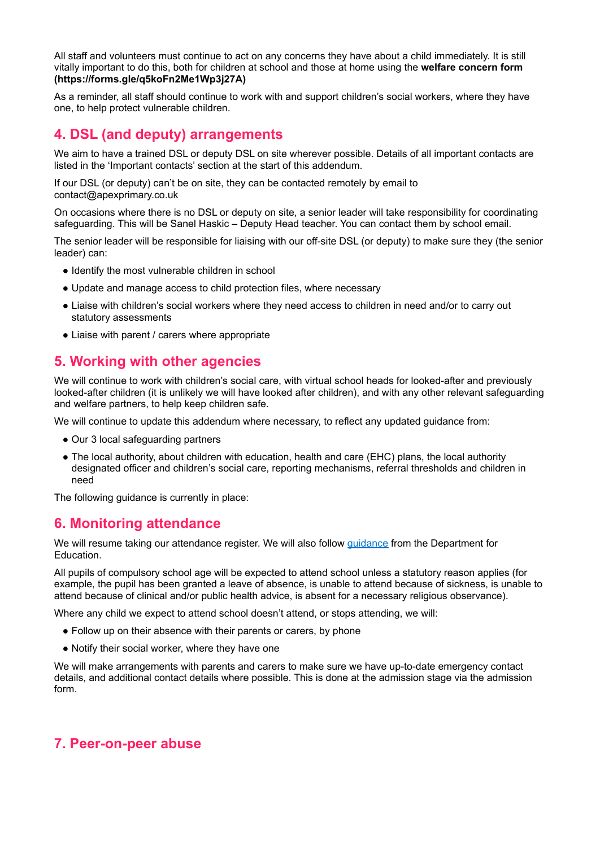All staff and volunteers must continue to act on any concerns they have about a child immediately. It is still vitally important to do this, both for children at school and those at home using the **welfare concern form (https://forms.gle/q5koFn2Me1Wp3j27A)**

As a reminder, all staff should continue to work with and support children's social workers, where they have one, to help protect vulnerable children.

# **4. DSL (and deputy) arrangements**

We aim to have a trained DSL or deputy DSL on site wherever possible. Details of all important contacts are listed in the 'Important contacts' section at the start of this addendum.

If our DSL (or deputy) can't be on site, they can be contacted remotely by email to contact@apexprimary.co.uk

On occasions where there is no DSL or deputy on site, a senior leader will take responsibility for coordinating safeguarding. This will be Sanel Haskic – Deputy Head teacher. You can contact them by school email.

The senior leader will be responsible for liaising with our off-site DSL (or deputy) to make sure they (the senior leader) can:

- Identify the most vulnerable children in school
- Update and manage access to child protection files, where necessary
- Liaise with children's social workers where they need access to children in need and/or to carry out statutory assessments
- Liaise with parent / carers where appropriate

# **5. Working with other agencies**

We will continue to work with children's social care, with virtual school heads for looked-after and previously looked-after children (it is unlikely we will have looked after children), and with any other relevant safeguarding and welfare partners, to help keep children safe.

We will continue to update this addendum where necessary, to reflect any updated guidance from:

- Our 3 local safeguarding partners
- The local authority, about children with education, health and care (EHC) plans, the local authority designated officer and children's social care, reporting mechanisms, referral thresholds and children in need

The following guidance is currently in place:

#### **6. Monitoring attendance**

We will resume taking our attendance register. We will also follow *[guidance](https://www.gov.uk/government/publications/school-attendance)* from the Department for Education.

All pupils of compulsory school age will be expected to attend school unless a statutory reason applies (for example, the pupil has been granted a leave of absence, is unable to attend because of sickness, is unable to attend because of clinical and/or public health advice, is absent for a necessary religious observance).

Where any child we expect to attend school doesn't attend, or stops attending, we will:

- Follow up on their absence with their parents or carers, by phone
- Notify their social worker, where they have one

We will make arrangements with parents and carers to make sure we have up-to-date emergency contact details, and additional contact details where possible. This is done at the admission stage via the admission form.

#### **7. Peer-on-peer abuse**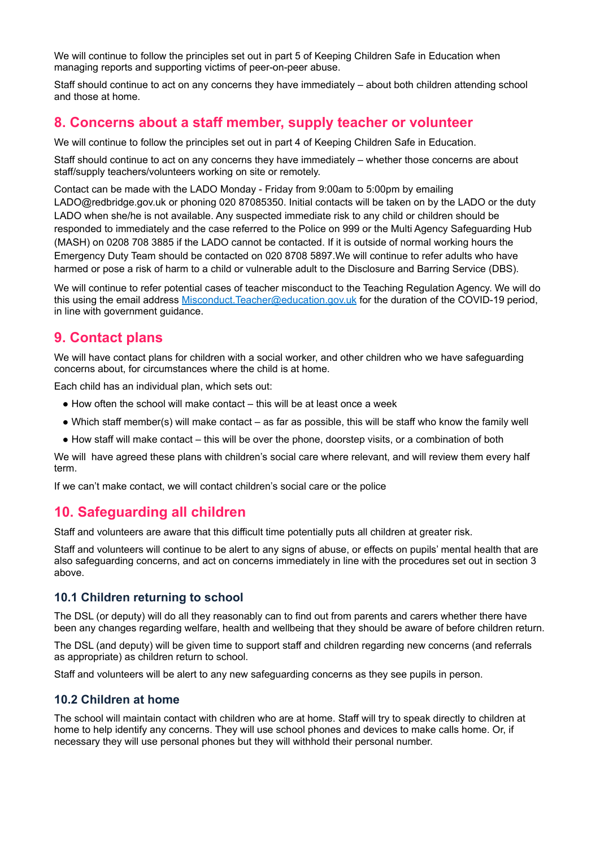We will continue to follow the principles set out in part 5 of Keeping Children Safe in Education when managing reports and supporting victims of peer-on-peer abuse.

Staff should continue to act on any concerns they have immediately – about both children attending school and those at home.

### **8. Concerns about a staff member, supply teacher or volunteer**

We will continue to follow the principles set out in part 4 of Keeping Children Safe in Education.

Staff should continue to act on any concerns they have immediately – whether those concerns are about staff/supply teachers/volunteers working on site or remotely.

Contact can be made with the LADO Monday - Friday from 9:00am to 5:00pm by emailing LADO@redbridge.gov.uk or phoning 020 87085350. Initial contacts will be taken on by the LADO or the duty LADO when she/he is not available. Any suspected immediate risk to any child or children should be responded to immediately and the case referred to the Police on 999 or the Multi Agency Safeguarding Hub (MASH) on 0208 708 3885 if the LADO cannot be contacted. If it is outside of normal working hours the Emergency Duty Team should be contacted on 020 8708 5897.We will continue to refer adults who have harmed or pose a risk of harm to a child or vulnerable adult to the Disclosure and Barring Service (DBS).

We will continue to refer potential cases of teacher misconduct to the Teaching Regulation Agency. We will do this using the email address [Misconduct.Teacher@education.gov.uk](mailto:Misconduct.Teacher@education.gov.uk) for the duration of the COVID-19 period, in line with government guidance.

#### **9. Contact plans**

We will have contact plans for children with a social worker, and other children who we have safeguarding concerns about, for circumstances where the child is at home.

Each child has an individual plan, which sets out:

- $\bullet$  How often the school will make contact this will be at least once a week
- Which staff member(s) will make contact as far as possible, this will be staff who know the family well
- How staff will make contact this will be over the phone, doorstep visits, or a combination of both

We will have agreed these plans with children's social care where relevant, and will review them every half term.

If we can't make contact, we will contact children's social care or the police

### **10. Safeguarding all children**

Staff and volunteers are aware that this difficult time potentially puts all children at greater risk.

Staff and volunteers will continue to be alert to any signs of abuse, or effects on pupils' mental health that are also safeguarding concerns, and act on concerns immediately in line with the procedures set out in section 3 above.

#### **10.1 Children returning to school**

The DSL (or deputy) will do all they reasonably can to find out from parents and carers whether there have been any changes regarding welfare, health and wellbeing that they should be aware of before children return.

The DSL (and deputy) will be given time to support staff and children regarding new concerns (and referrals as appropriate) as children return to school.

Staff and volunteers will be alert to any new safeguarding concerns as they see pupils in person.

#### **10.2 Children at home**

The school will maintain contact with children who are at home. Staff will try to speak directly to children at home to help identify any concerns. They will use school phones and devices to make calls home. Or, if necessary they will use personal phones but they will withhold their personal number.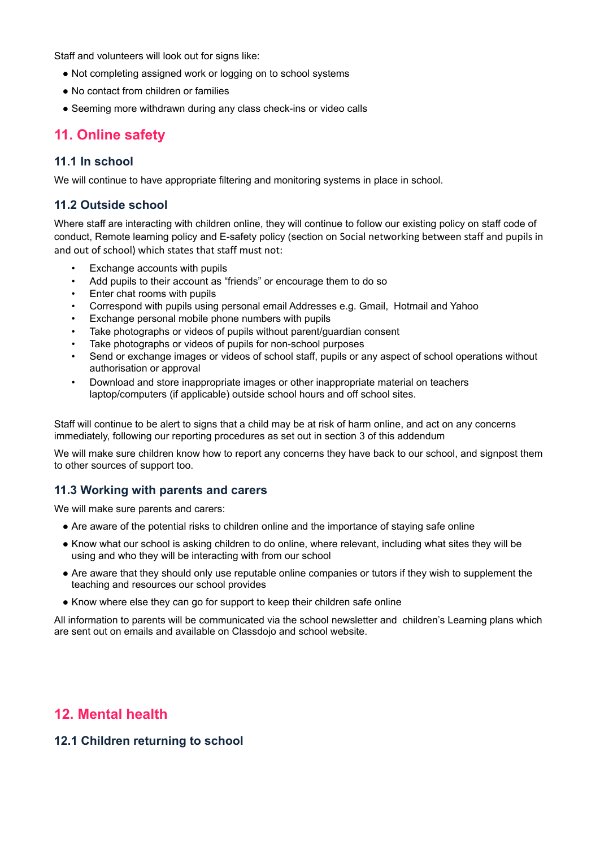Staff and volunteers will look out for signs like:

- Not completing assigned work or logging on to school systems
- No contact from children or families
- Seeming more withdrawn during any class check-ins or video calls

### **11. Online safety**

#### **11.1 In school**

We will continue to have appropriate filtering and monitoring systems in place in school.

#### **11.2 Outside school**

Where staff are interacting with children online, they will continue to follow our existing policy on staff code of conduct, Remote learning policy and E-safety policy (section on Social networking between staff and pupils in and out of school) which states that staff must not:

- Exchange accounts with pupils
- Add pupils to their account as "friends" or encourage them to do so
- Enter chat rooms with pupils
- Correspond with pupils using personal email Addresses e.g. Gmail, Hotmail and Yahoo
- Exchange personal mobile phone numbers with pupils
- Take photographs or videos of pupils without parent/guardian consent
- Take photographs or videos of pupils for non-school purposes
- Send or exchange images or videos of school staff, pupils or any aspect of school operations without authorisation or approval
- Download and store inappropriate images or other inappropriate material on teachers laptop/computers (if applicable) outside school hours and off school sites.

Staff will continue to be alert to signs that a child may be at risk of harm online, and act on any concerns immediately, following our reporting procedures as set out in section 3 of this addendum

We will make sure children know how to report any concerns they have back to our school, and signpost them to other sources of support too.

#### **11.3 Working with parents and carers**

We will make sure parents and carers:

- Are aware of the potential risks to children online and the importance of staying safe online
- Know what our school is asking children to do online, where relevant, including what sites they will be using and who they will be interacting with from our school
- Are aware that they should only use reputable online companies or tutors if they wish to supplement the teaching and resources our school provides
- Know where else they can go for support to keep their children safe online

All information to parents will be communicated via the school newsletter and children's Learning plans which are sent out on emails and available on Classdojo and school website.

### **12. Mental health**

#### **12.1 Children returning to school**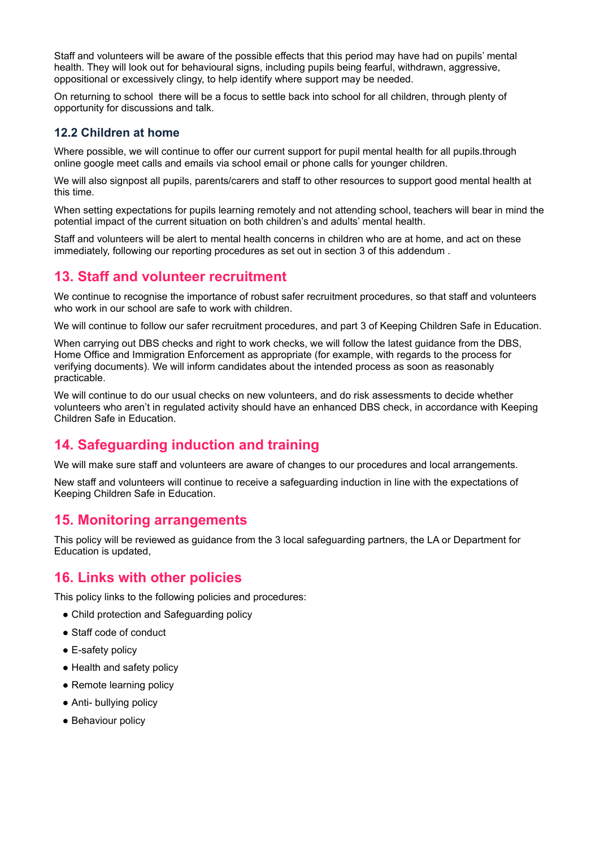Staff and volunteers will be aware of the possible effects that this period may have had on pupils' mental health. They will look out for behavioural signs, including pupils being fearful, withdrawn, aggressive, oppositional or excessively clingy, to help identify where support may be needed.

On returning to school there will be a focus to settle back into school for all children, through plenty of opportunity for discussions and talk.

#### **12.2 Children at home**

Where possible, we will continue to offer our current support for pupil mental health for all pupils.through online google meet calls and emails via school email or phone calls for younger children.

We will also signpost all pupils, parents/carers and staff to other resources to support good mental health at this time.

When setting expectations for pupils learning remotely and not attending school, teachers will bear in mind the potential impact of the current situation on both children's and adults' mental health.

Staff and volunteers will be alert to mental health concerns in children who are at home, and act on these immediately, following our reporting procedures as set out in section 3 of this addendum .

### **13. Staff and volunteer recruitment**

We continue to recognise the importance of robust safer recruitment procedures, so that staff and volunteers who work in our school are safe to work with children.

We will continue to follow our safer recruitment procedures, and part 3 of Keeping Children Safe in Education.

When carrying out DBS checks and right to work checks, we will follow the latest guidance from the DBS, Home Office and Immigration Enforcement as appropriate (for example, with regards to the process for verifying documents). We will inform candidates about the intended process as soon as reasonably practicable.

We will continue to do our usual checks on new volunteers, and do risk assessments to decide whether volunteers who aren't in regulated activity should have an enhanced DBS check, in accordance with Keeping Children Safe in Education.

# **14. Safeguarding induction and training**

We will make sure staff and volunteers are aware of changes to our procedures and local arrangements.

New staff and volunteers will continue to receive a safeguarding induction in line with the expectations of Keeping Children Safe in Education.

#### **15. Monitoring arrangements**

This policy will be reviewed as guidance from the 3 local safeguarding partners, the LA or Department for Education is updated,

### **16. Links with other policies**

This policy links to the following policies and procedures:

- Child protection and Safeguarding policy
- Staff code of conduct
- E-safety policy
- Health and safety policy
- Remote learning policy
- Anti- bullving policy
- Behaviour policy